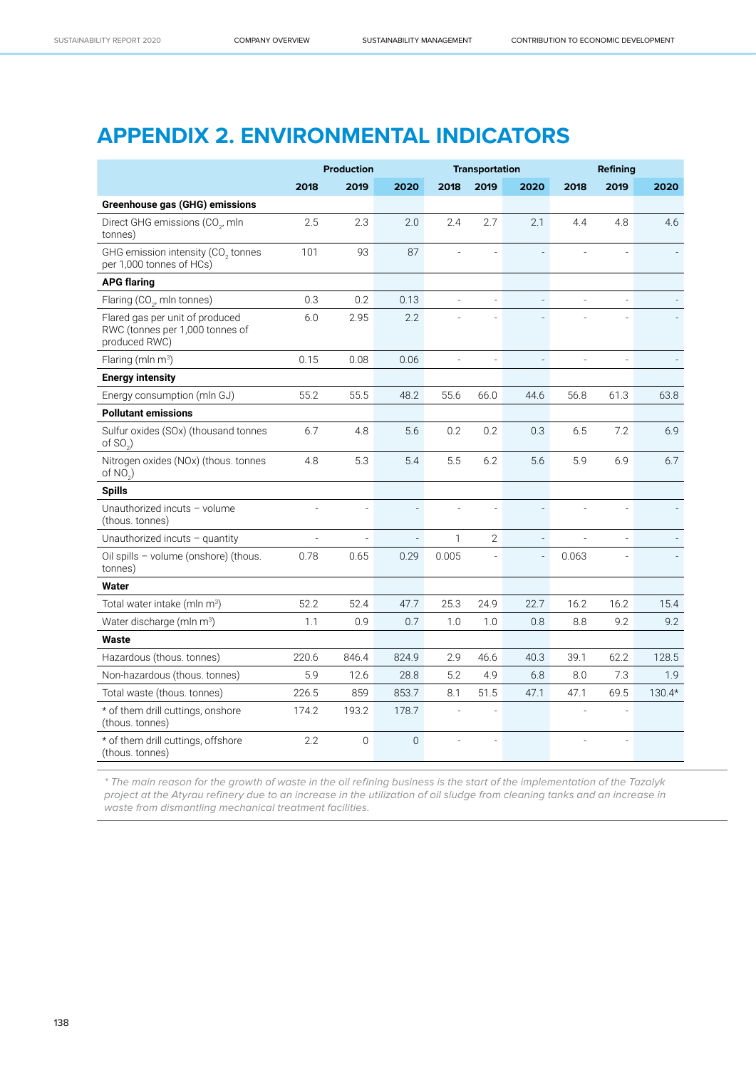# **APPENDIX 2. ENVIRONMENTAL INDICATORS**

|                                                                                     |                | <b>Production</b> | <b>Transportation</b> |                |              |                          | <b>Refining</b> |                |          |
|-------------------------------------------------------------------------------------|----------------|-------------------|-----------------------|----------------|--------------|--------------------------|-----------------|----------------|----------|
|                                                                                     | 2018           | 2019              | 2020                  | 2018           | 2019         | 2020                     | 2018            | 2019           | 2020     |
| Greenhouse gas (GHG) emissions                                                      |                |                   |                       |                |              |                          |                 |                |          |
| Direct GHG emissions (CO <sub>2</sub> , mln<br>tonnes)                              | 2.5            | 2.3               | 2.0                   | 2.4            | 2.7          | 2.1                      | 4.4             | 4.8            | 4.6      |
| GHG emission intensity (CO <sub>2</sub> tonnes<br>per 1,000 tonnes of HCs)          | 101            | 93                | 87                    | $\frac{1}{2}$  |              |                          |                 |                |          |
| <b>APG flaring</b>                                                                  |                |                   |                       |                |              |                          |                 |                |          |
| Flaring (CO <sub>2</sub> , mln tonnes)                                              | 0.3            | 0.2               | 0.13                  | $\overline{a}$ | ÷,           | $\overline{a}$           | ÷.              |                |          |
| Flared gas per unit of produced<br>RWC (tonnes per 1,000 tonnes of<br>produced RWC) | 6.0            | 2.95              | 2.2                   |                |              |                          |                 |                |          |
| Flaring (mln m <sup>3</sup> )                                                       | 0.15           | 0.08              | 0.06                  |                |              |                          |                 |                |          |
| <b>Energy intensity</b>                                                             |                |                   |                       |                |              |                          |                 |                |          |
| Energy consumption (mln GJ)                                                         | 55.2           | 55.5              | 48.2                  | 55.6           | 66.0         | 44.6                     | 56.8            | 61.3           | 63.8     |
| <b>Pollutant emissions</b>                                                          |                |                   |                       |                |              |                          |                 |                |          |
| Sulfur oxides (SOx) (thousand tonnes<br>of $SO_2$ )                                 | 6.7            | 4.8               | 5.6                   | 0.2            | 0.2          | 0.3                      | 6.5             | 7.2            | 6.9      |
| Nitrogen oxides (NOx) (thous. tonnes<br>of $NO2$ )                                  | 4.8            | 5.3               | 5.4                   | 5.5            | 6.2          | 5.6                      | 5.9             | 6.9            | 6.7      |
| <b>Spills</b>                                                                       |                |                   |                       |                |              |                          |                 |                |          |
| Unauthorized incuts - volume<br>(thous. tonnes)                                     | $\overline{a}$ | L,                | $\overline{a}$        | $\overline{a}$ | J.           | $\overline{a}$           |                 |                |          |
| Unauthorized incuts $-$ quantity                                                    |                |                   |                       | $\mathbf{1}$   | $\mathbf{2}$ | $\overline{\phantom{a}}$ |                 |                |          |
| Oil spills - volume (onshore) (thous.<br>tonnes)                                    | 0.78           | 0.65              | 0.29                  | 0.005          | J.           | $\overline{\phantom{a}}$ | 0.063           | $\overline{a}$ |          |
| <b>Water</b>                                                                        |                |                   |                       |                |              |                          |                 |                |          |
| Total water intake (mln m <sup>3</sup> )                                            | 52.2           | 52.4              | 47.7                  | 25.3           | 24.9         | 22.7                     | 16.2            | 16.2           | 15.4     |
| Water discharge (mln m <sup>3</sup> )                                               | 1.1            | 0.9               | 0.7                   | 1.0            | 1.0          | 0.8                      | 8.8             | 9.2            | 9.2      |
| Waste                                                                               |                |                   |                       |                |              |                          |                 |                |          |
| Hazardous (thous. tonnes)                                                           | 220.6          | 846.4             | 824.9                 | 2.9            | 46.6         | 40.3                     | 39.1            | 62.2           | 128.5    |
| Non-hazardous (thous. tonnes)                                                       | 5.9            | 12.6              | 28.8                  | 5.2            | 4.9          | 6.8                      | 8.0             | 7.3            | 1.9      |
| Total waste (thous. tonnes)                                                         | 226.5          | 859               | 853.7                 | 8.1            | 51.5         | 47.1                     | 47.1            | 69.5           | $130.4*$ |
| * of them drill cuttings, onshore<br>(thous. tonnes)                                | 174.2          | 193.2             | 178.7                 |                |              |                          |                 |                |          |
| * of them drill cuttings, offshore<br>(thous. tonnes)                               | 2.2            | 0                 | $\overline{0}$        |                |              |                          |                 |                |          |

\* The main reason for the growth of waste in the oil refining business is the start of the implementation of the Tazalyk project at the Atyrau refinery due to an increase in the utilization of oil sludge from cleaning tanks and an increase in waste from dismantling mechanical treatment facilities.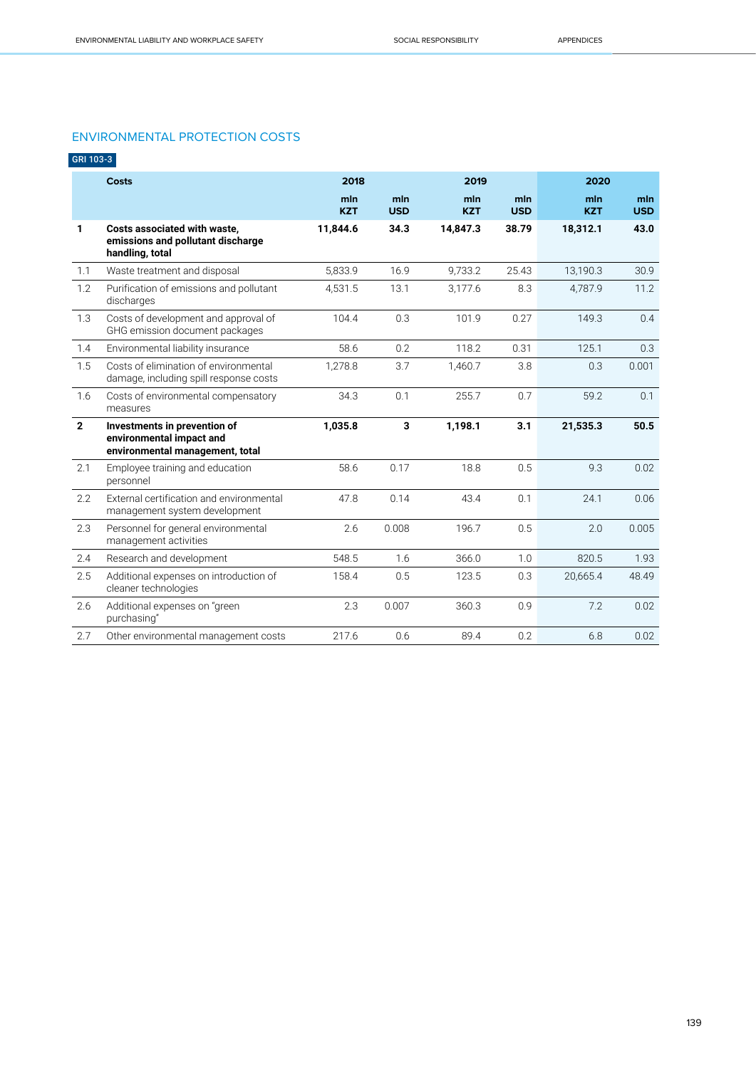# ENVIRONMENTAL PROTECTION COSTS

## GRI 103-3

|                | <b>Costs</b>                                                                                | 2018              |                   | 2019              |                   | 2020              |                   |  |
|----------------|---------------------------------------------------------------------------------------------|-------------------|-------------------|-------------------|-------------------|-------------------|-------------------|--|
|                |                                                                                             | mln<br><b>KZT</b> | mln<br><b>USD</b> | mln<br><b>KZT</b> | mln<br><b>USD</b> | mln<br><b>KZT</b> | mln<br><b>USD</b> |  |
| 1              | Costs associated with waste,<br>emissions and pollutant discharge<br>handling, total        | 11,844.6          | 34.3              | 14,847.3          | 38.79             | 18,312.1          | 43.0              |  |
| 1.1            | Waste treatment and disposal                                                                | 5,833.9           | 16.9              | 9,733.2           | 25.43             | 13,190.3          | 30.9              |  |
| 1.2            | Purification of emissions and pollutant<br>discharges                                       | 4,531.5           | 13.1              | 3,177.6           | 8.3               | 4.787.9           | 11.2              |  |
| 1.3            | Costs of development and approval of<br>GHG emission document packages                      | 104.4             | 0.3               | 101.9             | 0.27              | 149.3             | 0.4               |  |
| 1.4            | Environmental liability insurance                                                           | 58.6              | 0.2               | 118.2             | 0.31              | 125.1             | 0.3               |  |
| 1.5            | Costs of elimination of environmental<br>damage, including spill response costs             | 1,278.8           | 3.7               | 1.460.7           | 3.8               | 0.3               | 0.001             |  |
| 1.6            | Costs of environmental compensatory<br>measures                                             | 34.3              | 0.1               | 255.7             | 0.7               | 59.2              | 0.1               |  |
| $\overline{2}$ | Investments in prevention of<br>environmental impact and<br>environmental management, total | 1,035.8           | 3                 | 1,198.1           | 3.1               | 21,535.3          | 50.5              |  |
| 2.1            | Employee training and education<br>personnel                                                | 58.6              | 0.17              | 18.8              | 0.5               | 9.3               | 0.02              |  |
| 2.2            | External certification and environmental<br>management system development                   | 47.8              | 0.14              | 43.4              | 0.1               | 24.1              | 0.06              |  |
| 2.3            | Personnel for general environmental<br>management activities                                | 2.6               | 0.008             | 196.7             | 0.5               | 2.0               | 0.005             |  |
| 2.4            | Research and development                                                                    | 548.5             | 1.6               | 366.0             | 1.0               | 820.5             | 1.93              |  |
| 2.5            | Additional expenses on introduction of<br>cleaner technologies                              | 158.4             | 0.5               | 123.5             | 0.3               | 20,665.4          | 48.49             |  |
| 2.6            | Additional expenses on "green<br>purchasing"                                                | 2.3               | 0.007             | 360.3             | 0.9               | 7.2               | 0.02              |  |
| 2.7            | Other environmental management costs                                                        | 217.6             | 0.6               | 89.4              | 0.2               | 6.8               | 0.02              |  |